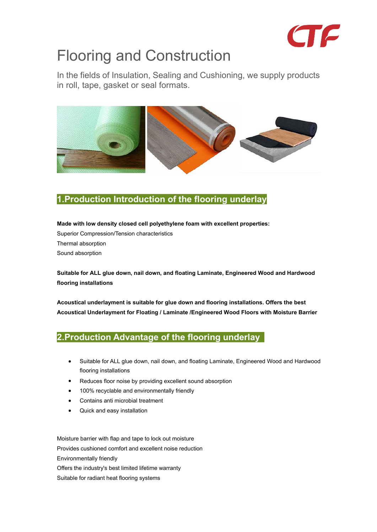

# Flooring and Construction

In the fields of Insulation, Sealing and Cushioning, we supply products in roll, tape, gasket or seal formats.



#### **1.Production Introduction of the flooring underlay**

**Made with low density closed cell polyethylene foam with excellent properties:** Superior Compression/Tension characteristics Thermal absorption Sound absorption

**Suitable for ALL glue down, nail down, and floating Laminate, Engineered Wood and Hardwood flooring installations**

**Acoustical underlayment is suitable for glue down and flooring installations.Offers the best Acoustical Underlayment for Floating / Laminate /Engineered Wood Floors with Moisture Barrier**

#### **2.Production Advantage of the flooring underlay**

- Suitable for ALL glue down, nail down, and floating Laminate, Engineered Wood and Hardwood flooring installations
- Reduces floor noise by providing excellent sound absorption
- 100% recyclable and environmentally friendly
- Contains anti microbial treatment
- Quick and easy installation

Moisture barrier with flap and tape to lock out moisture Provides cushioned comfort and excellent noise reduction Environmentally friendly Offers the industry's best limited lifetime warranty Suitable for radiant heat flooring systems